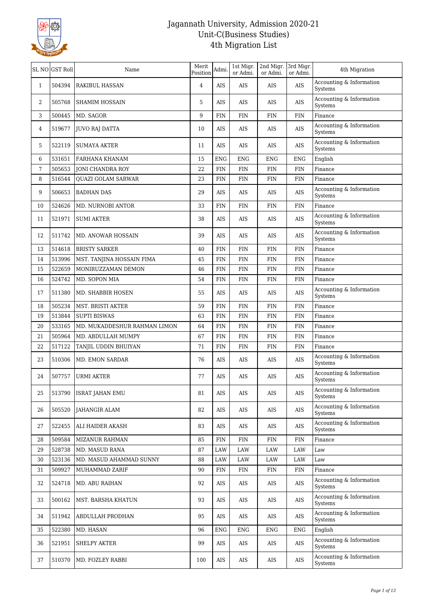

|                | SL NO GST Roll | Name                         | Merit<br>Position | Admi.       | 1st Migr.<br>or Admi. | 2nd Migr. 3rd Migr.<br>or Admi. | or Admi.    | 4th Migration                       |
|----------------|----------------|------------------------------|-------------------|-------------|-----------------------|---------------------------------|-------------|-------------------------------------|
| $\mathbf{1}$   | 504394         | <b>RAKIBUL HASSAN</b>        | $\overline{4}$    | AIS         | AIS                   | AIS                             | AIS         | Accounting & Information<br>Systems |
| $\overline{2}$ | 505768         | <b>SHAMIM HOSSAIN</b>        | 5                 | AIS         | AIS                   | AIS                             | AIS         | Accounting & Information<br>Systems |
| 3              | 500445         | MD. SAGOR                    | 9                 | FIN         | <b>FIN</b>            | FIN                             | <b>FIN</b>  | Finance                             |
| 4              | 519677         | <b>JUVO RAJ DATTA</b>        | $10\,$            | <b>AIS</b>  | AIS                   | AIS                             | AIS         | Accounting & Information<br>Systems |
| 5              | 522119         | SUMAYA AKTER                 | 11                | AIS         | AIS                   | AIS                             | AIS         | Accounting & Information<br>Systems |
| 6              | 531651         | FARHANA KHANAM               | 15                | <b>ENG</b>  | <b>ENG</b>            | <b>ENG</b>                      | <b>ENG</b>  | English                             |
| 7              | 505653         | JONI CHANDRA ROY             | 22                | <b>FIN</b>  | <b>FIN</b>            | <b>FIN</b>                      | <b>FIN</b>  | Finance                             |
| 8              | 516544         | <b>QUAZI GOLAM SARWAR</b>    | 23                | <b>FIN</b>  | <b>FIN</b>            | <b>FIN</b>                      | <b>FIN</b>  | Finance                             |
| 9              | 506653         | <b>BADHAN DAS</b>            | 29                | AIS         | AIS                   | AIS                             | AIS         | Accounting & Information<br>Systems |
| 10             | 524626         | <b>MD. NURNOBI ANTOR</b>     | 33                | <b>FIN</b>  | FIN                   | FIN                             | <b>FIN</b>  | Finance                             |
| 11             | 521971         | <b>SUMI AKTER</b>            | 38                | AIS         | AIS                   | AIS                             | AIS         | Accounting & Information<br>Systems |
| 12             | 511742         | MD. ANOWAR HOSSAIN           | 39                | AIS         | AIS                   | AIS                             | AIS         | Accounting & Information<br>Systems |
| 13             | 514618         | <b>BRISTY SARKER</b>         | 40                | FIN         | <b>FIN</b>            | FIN                             | <b>FIN</b>  | Finance                             |
| 14             | 513996         | MST. TANJINA HOSSAIN FIMA    | 45                | FIN         | <b>FIN</b>            | FIN                             | <b>FIN</b>  | Finance                             |
| 15             | 522659         | MONIRUZZAMAN DEMON           | 46                | ${\rm FIN}$ | <b>FIN</b>            | <b>FIN</b>                      | <b>FIN</b>  | Finance                             |
| 16             | 524742         | MD. SOPON MIA                | 54                | FIN         | FIN                   | <b>FIN</b>                      | <b>FIN</b>  | Finance                             |
| 17             | 511380         | MD. SHABBIR HOSEN            | 55                | AIS         | <b>AIS</b>            | AIS                             | AIS         | Accounting & Information<br>Systems |
| 18             | 505234         | MST. BRISTI AKTER            | 59                | <b>FIN</b>  | <b>FIN</b>            | FIN                             | <b>FIN</b>  | Finance                             |
| 19             | 513844         | <b>SUPTI BISWAS</b>          | 63                | <b>FIN</b>  | <b>FIN</b>            | FIN                             | ${\rm FIN}$ | Finance                             |
| 20             | 533165         | MD. MUKADDESHUR RAHMAN LIMON | 64                | FIN         | FIN                   | <b>FIN</b>                      | <b>FIN</b>  | Finance                             |
| 21             | 505964         | MD. ABDULLAH MUMPY           | 67                | <b>FIN</b>  | <b>FIN</b>            | FIN                             | <b>FIN</b>  | Finance                             |
| 22             | 517122         | TANJIL UDDIN BHUIYAN         | 71                | FIN         | FIN                   | <b>FIN</b>                      | <b>FIN</b>  | Finance                             |
| 23             | 510306         | <b>MD. EMON SARDAR</b>       | 76                | <b>AIS</b>  | AIS                   | AIS                             | AIS         | Accounting & Information<br>Systems |
| 24             | 507757         | <b>URMI AKTER</b>            | 77                | AIS         | AIS                   | AIS                             | AIS         | Accounting & Information<br>Systems |
| 25             | 513790         | <b>ISRAT JAHAN EMU</b>       | 81                | AIS         | AIS                   | AIS                             | AIS         | Accounting & Information<br>Systems |
| 26             | 505520         | JAHANGIR ALAM                | 82                | AIS         | AIS                   | AIS                             | AIS         | Accounting & Information<br>Systems |
| 27             | 522455         | ALI HAIDER AKASH             | 83                | AIS         | AIS                   | AIS                             | AIS         | Accounting & Information<br>Systems |
| 28             | 509584         | <b>MIZANUR RAHMAN</b>        | 85                | FIN         | $\text{FIN}$          | FIN                             | <b>FIN</b>  | Finance                             |
| 29             | 528738         | MD. MASUD RANA               | 87                | LAW         | LAW                   | LAW                             | LAW         | Law                                 |
| 30             | 523136         | MD. MASUD AHAMMAD SUNNY      | 88                | LAW         | LAW                   | LAW                             | LAW         | Law                                 |
| 31             | 509927         | MUHAMMAD ZARIF               | 90                | <b>FIN</b>  | <b>FIN</b>            | <b>FIN</b>                      | FIN         | Finance                             |
| 32             | 524718         | MD. ABU RAIHAN               | 92                | AIS         | AIS                   | AIS                             | AIS         | Accounting & Information<br>Systems |
| 33             | 500162         | MST. BARSHA KHATUN           | 93                | AIS         | AIS                   | AIS                             | AIS         | Accounting & Information<br>Systems |
| 34             | 511942         | ABDULLAH PRODHAN             | 95                | AIS         | AIS                   | AIS                             | AIS         | Accounting & Information<br>Systems |
| 35             | 522380         | MD. HASAN                    | 96                | <b>ENG</b>  | ENG                   | <b>ENG</b>                      | <b>ENG</b>  | English                             |
| 36             | 521951         | SHELPY AKTER                 | 99                | AIS         | AIS                   | AIS                             | AIS         | Accounting & Information<br>Systems |
| 37             | 510370         | MD. FOZLEY RABBI             | 100               | AIS         | AIS                   | AIS                             | AIS         | Accounting & Information<br>Systems |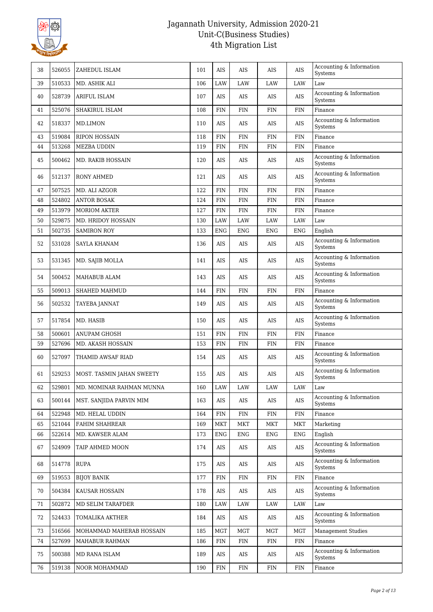

| 38 | 526055 | ZAHEDUL ISLAM                     | 101 | AIS        | <b>AIS</b> | AIS        | AIS        | Accounting & Information<br>Systems |
|----|--------|-----------------------------------|-----|------------|------------|------------|------------|-------------------------------------|
| 39 | 510533 | MD. ASHIK ALI                     | 106 | LAW        | LAW        | LAW        | LAW        | Law                                 |
| 40 | 528739 | <b>ARIFUL ISLAM</b>               | 107 | AIS        | <b>AIS</b> | AIS        | AIS        | Accounting & Information<br>Systems |
| 41 | 525076 | SHAKIRUL ISLAM                    | 108 | <b>FIN</b> | <b>FIN</b> | FIN        | <b>FIN</b> | Finance                             |
| 42 | 518337 | MD.LIMON                          | 110 | AIS        | AIS        | AIS        | AIS        | Accounting & Information<br>Systems |
| 43 | 519084 | <b>RIPON HOSSAIN</b>              | 118 | FIN        | <b>FIN</b> | <b>FIN</b> | <b>FIN</b> | Finance                             |
| 44 | 513268 | <b>MEZBA UDDIN</b>                | 119 | <b>FIN</b> | <b>FIN</b> | <b>FIN</b> | <b>FIN</b> | Finance                             |
| 45 | 500462 | MD. RAKIB HOSSAIN                 | 120 | <b>AIS</b> | AIS        | AIS        | AIS        | Accounting & Information<br>Systems |
| 46 | 512137 | RONY AHMED                        | 121 | AIS        | AIS        | AIS        | AIS        | Accounting & Information<br>Systems |
| 47 | 507525 | MD. ALI AZGOR                     | 122 | <b>FIN</b> | <b>FIN</b> | <b>FIN</b> | <b>FIN</b> | Finance                             |
| 48 | 524802 | <b>ANTOR BOSAK</b>                | 124 | <b>FIN</b> | <b>FIN</b> | <b>FIN</b> | <b>FIN</b> | Finance                             |
| 49 | 513979 | <b>MORIOM AKTER</b>               | 127 | FIN        | <b>FIN</b> | FIN        | <b>FIN</b> | Finance                             |
| 50 | 529875 | MD. HRIDOY HOSSAIN                | 130 | LAW        | LAW        | LAW        | <b>LAW</b> | Law                                 |
| 51 | 502735 | <b>SAMIRON ROY</b>                | 133 | <b>ENG</b> | <b>ENG</b> | <b>ENG</b> | <b>ENG</b> | English                             |
| 52 | 531028 | SAYLA KHANAM                      | 136 | <b>AIS</b> | AIS        | AIS        | AIS        | Accounting & Information<br>Systems |
| 53 | 531345 | MD. SAJIB MOLLA                   | 141 | <b>AIS</b> | AIS        | AIS        | AIS        | Accounting & Information<br>Systems |
| 54 | 500452 | MAHABUB ALAM                      | 143 | AIS        | <b>AIS</b> | AIS        | <b>AIS</b> | Accounting & Information<br>Systems |
| 55 | 509013 | SHAHED MAHMUD                     | 144 | <b>FIN</b> | <b>FIN</b> | <b>FIN</b> | <b>FIN</b> | Finance                             |
| 56 | 502532 | TAYEBA JANNAT                     | 149 | <b>AIS</b> | AIS        | AIS        | AIS        | Accounting & Information<br>Systems |
| 57 | 517854 | MD. HASIB                         | 150 | AIS        | AIS        | AIS        | AIS        | Accounting & Information<br>Systems |
| 58 | 500601 | ANUPAM GHOSH                      | 151 | <b>FIN</b> | <b>FIN</b> | <b>FIN</b> | <b>FIN</b> | Finance                             |
| 59 | 527696 | MD. AKASH HOSSAIN                 | 153 | <b>FIN</b> | <b>FIN</b> | <b>FIN</b> | <b>FIN</b> | Finance                             |
| 60 | 527097 | THAMID AWSAF RIAD                 | 154 | <b>AIS</b> | AIS        | AIS        | AIS        | Accounting & Information<br>Systems |
| 61 | 529253 | MOST. TASMIN JAHAN SWEETY         | 155 | AIS        | AIS        | AIS        | AIS        | Accounting & Information<br>Systems |
| 62 |        | 529801   MD. MOMINAR RAHMAN MUNNA | 160 | $\rm LAW$  | $\rm LAW$  | $\rm LAW$  | LAW        | Law                                 |
| 63 | 500144 | MST. SANJIDA PARVIN MIM           | 163 | AIS        | AIS        | AIS        | AIS        | Accounting & Information<br>Systems |
| 64 | 522948 | MD. HELAL UDDIN                   | 164 | <b>FIN</b> | <b>FIN</b> | <b>FIN</b> | <b>FIN</b> | Finance                             |
| 65 | 521044 | FAHIM SHAHREAR                    | 169 | <b>MKT</b> | <b>MKT</b> | <b>MKT</b> | <b>MKT</b> | Marketing                           |
| 66 | 522614 | MD. KAWSER ALAM                   | 173 | ENG        | <b>ENG</b> | <b>ENG</b> | <b>ENG</b> | English                             |
| 67 | 524909 | TAIP AHMED MOON                   | 174 | AIS        | AIS        | AIS        | AIS        | Accounting & Information<br>Systems |
| 68 | 514778 | <b>RUPA</b>                       | 175 | AIS        | AIS        | AIS        | AIS        | Accounting & Information<br>Systems |
| 69 | 519553 | <b>BIJOY BANIK</b>                | 177 | FIN        | <b>FIN</b> | FIN        | <b>FIN</b> | Finance                             |
| 70 | 504384 | KAUSAR HOSSAIN                    | 178 | AIS        | AIS        | AIS        | AIS        | Accounting & Information<br>Systems |
| 71 | 502872 | MD SELIM TARAFDER                 | 180 | LAW        | LAW        | LAW        | LAW        | Law                                 |
| 72 | 524433 | TOMALIKA AKTHER                   | 184 | AIS        | AIS        | AIS        | AIS        | Accounting & Information<br>Systems |
| 73 | 516566 | MOHAMMAD MAHERAB HOSSAIN          | 185 | <b>MGT</b> | MGT        | MGT        | <b>MGT</b> | <b>Management Studies</b>           |
| 74 | 527699 | MAHABUR RAHMAN                    | 186 | <b>FIN</b> | <b>FIN</b> | <b>FIN</b> | <b>FIN</b> | Finance                             |
| 75 | 500388 | MD RANA ISLAM                     | 189 | AIS        | AIS        | AIS        | AIS        | Accounting & Information<br>Systems |
| 76 | 519138 | NOOR MOHAMMAD                     | 190 | <b>FIN</b> | <b>FIN</b> | <b>FIN</b> | <b>FIN</b> | Finance                             |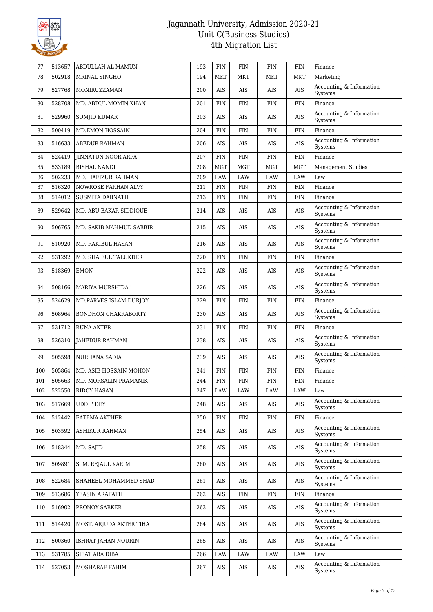

| 77  | 513657 | ABDULLAH AL MAMUN          | 193 | FIN         | <b>FIN</b>  | <b>FIN</b>  | <b>FIN</b> | Finance                                |
|-----|--------|----------------------------|-----|-------------|-------------|-------------|------------|----------------------------------------|
| 78  | 502918 | MRINAL SINGHO              | 194 | <b>MKT</b>  | <b>MKT</b>  | <b>MKT</b>  | <b>MKT</b> | Marketing                              |
| 79  | 527768 | MONIRUZZAMAN               | 200 | AIS         | AIS         | AIS         | AIS        | Accounting & Information<br>Systems    |
| 80  | 528708 | MD. ABDUL MOMIN KHAN       | 201 | FIN         | FIN         | FIN         | <b>FIN</b> | Finance                                |
| 81  | 529960 | SOMJID KUMAR               | 203 | AIS         | <b>AIS</b>  | AIS         | AIS        | Accounting & Information<br>Systems    |
| 82  | 500419 | <b>MD.EMON HOSSAIN</b>     | 204 | FIN         | <b>FIN</b>  | <b>FIN</b>  | <b>FIN</b> | Finance                                |
| 83  | 516633 | <b>ABEDUR RAHMAN</b>       | 206 | <b>AIS</b>  | AIS         | AIS         | AIS        | Accounting & Information<br>Systems    |
| 84  | 524419 | <b>JINNATUN NOOR ARPA</b>  | 207 | FIN         | FIN         | FIN         | <b>FIN</b> | Finance                                |
| 85  | 533189 | <b>BISHAL NANDI</b>        | 208 | <b>MGT</b>  | <b>MGT</b>  | <b>MGT</b>  | <b>MGT</b> | <b>Management Studies</b>              |
| 86  | 502233 | MD. HAFIZUR RAHMAN         | 209 | LAW         | <b>LAW</b>  | LAW         | LAW        | Law                                    |
| 87  | 516320 | NOWROSE FARHAN ALVY        | 211 | ${\rm FIN}$ | FIN         | FIN         | <b>FIN</b> | Finance                                |
| 88  | 514012 | <b>SUSMITA DABNATH</b>     | 213 | FIN         | <b>FIN</b>  | FIN         | <b>FIN</b> | Finance                                |
| 89  | 529642 | MD. ABU BAKAR SIDDIQUE     | 214 | AIS         | AIS         | AIS         | AIS        | Accounting & Information<br>Systems    |
| 90  | 506765 | MD. SAKIB MAHMUD SABBIR    | 215 | <b>AIS</b>  | AIS         | AIS         | AIS        | Accounting & Information<br>Systems    |
| 91  | 510920 | MD. RAKIBUL HASAN          | 216 | AIS         | AIS         | AIS         | AIS        | Accounting & Information<br>Systems    |
| 92  | 531292 | MD. SHAIFUL TALUKDER       | 220 | FIN         | <b>FIN</b>  | <b>FIN</b>  | <b>FIN</b> | Finance                                |
| 93  | 518369 | <b>EMON</b>                | 222 | <b>AIS</b>  | AIS         | AIS         | AIS        | Accounting & Information<br>Systems    |
| 94  | 508166 | <b>MARIYA MURSHIDA</b>     | 226 | <b>AIS</b>  | AIS         | AIS         | AIS        | Accounting & Information<br>Systems    |
| 95  | 524629 | MD.PARVES ISLAM DURJOY     | 229 | FIN         | FIN         | FIN         | <b>FIN</b> | Finance                                |
| 96  | 508964 | <b>BONDHON CHAKRABORTY</b> | 230 | AIS         | AIS         | AIS         | AIS        | Accounting & Information<br>Systems    |
| 97  | 531712 | <b>RUNA AKTER</b>          | 231 | FIN         | FIN         | FIN         | <b>FIN</b> | Finance                                |
| 98  | 526310 | <b>JAHEDUR RAHMAN</b>      | 238 | <b>AIS</b>  | AIS         | AIS         | AIS        | Accounting & Information<br>Systems    |
| 99  | 505598 | <b>NURHANA SADIA</b>       | 239 | AIS         | AIS         | AIS         | AIS        | Accounting & Information<br>Systems    |
| 100 | 505864 | MD. ASIB HOSSAIN MOHON     | 241 | FIN         | <b>FIN</b>  | <b>FIN</b>  | <b>FIN</b> | Finance                                |
| 101 | 505663 | MD. MORSALIN PRAMANIK      | 244 | <b>FIN</b>  | <b>FIN</b>  | FIN         | <b>FIN</b> | Finance                                |
| 102 | 522550 | <b>RIDOY HASAN</b>         | 247 | LAW         | LAW         | <b>LAW</b>  | LAW        | Law                                    |
| 103 | 517669 | <b>UDDIP DEY</b>           | 248 | AIS         | AIS         | AIS         | AIS        | Accounting & Information<br>Systems    |
| 104 | 512442 | FATEMA AKTHER              | 250 | FIN         | FIN         | FIN         | <b>FIN</b> | Finance                                |
| 105 | 503592 | ASHIKUR RAHMAN             | 254 | AIS         | AIS         | AIS         | AIS        | Accounting & Information<br>Systems    |
| 106 | 518344 | MD. SAJID                  | 258 | AIS         | AIS         | AIS         | $\rm AIS$  | Accounting & Information<br>Systems    |
| 107 | 509891 | S. M. REJAUL KARIM         | 260 | AIS         | AIS         | AIS         | AIS        | Accounting & Information<br>Systems    |
| 108 | 522684 | SHAHEEL MOHAMMED SHAD      | 261 | AIS         | AIS         | AIS         | AIS        | Accounting & Information<br>Systems    |
| 109 | 513686 | YEASIN ARAFATH             | 262 | $\rm AIS$   | ${\rm FIN}$ | ${\rm FIN}$ | <b>FIN</b> | Finance                                |
| 110 | 516902 | PRONOY SARKER              | 263 | $\rm AIS$   | AIS         | AIS         | $\rm{AIS}$ | Accounting $\&$ Information<br>Systems |
| 111 | 514420 | MOST. ARJUDA AKTER TIHA    | 264 | AIS         | AIS         | AIS         | AIS        | Accounting & Information<br>Systems    |
| 112 | 500360 | ISHRAT JAHAN NOURIN        | 265 | AIS         | AIS         | AIS         | AIS        | Accounting & Information<br>Systems    |
| 113 | 531785 | SIFAT ARA DIBA             | 266 | LAW         | LAW         | LAW         | LAW        | Law                                    |
| 114 | 527053 | MOSHARAF FAHIM             | 267 | $\rm{AIS}$  | AIS         | AIS         | AIS        | Accounting & Information<br>Systems    |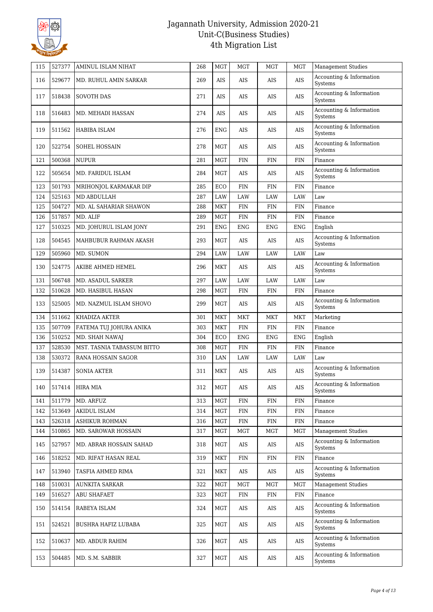

| 115 | 527377 | AMINUL ISLAM NIHAT         | 268 | <b>MGT</b>           | <b>MGT</b>  | <b>MGT</b> | <b>MGT</b> | <b>Management Studies</b>           |
|-----|--------|----------------------------|-----|----------------------|-------------|------------|------------|-------------------------------------|
| 116 | 529677 | MD. RUHUL AMIN SARKAR      | 269 | AIS                  | AIS         | AIS        | AIS        | Accounting & Information<br>Systems |
| 117 | 518438 | <b>SOVOTH DAS</b>          | 271 | AIS                  | <b>AIS</b>  | AIS        | AIS        | Accounting & Information<br>Systems |
| 118 | 516483 | MD. MEHADI HASSAN          | 274 | AIS                  | <b>AIS</b>  | AIS        | AIS        | Accounting & Information<br>Systems |
| 119 | 511562 | HABIBA ISLAM               | 276 | ENG                  | AIS         | AIS        | AIS        | Accounting & Information<br>Systems |
| 120 | 522754 | <b>SOHEL HOSSAIN</b>       | 278 | MGT                  | AIS         | AIS        | AIS        | Accounting & Information<br>Systems |
| 121 | 500368 | <b>NUPUR</b>               | 281 | <b>MGT</b>           | <b>FIN</b>  | <b>FIN</b> | <b>FIN</b> | Finance                             |
| 122 | 505654 | MD. FARIDUL ISLAM          | 284 | <b>MGT</b>           | <b>AIS</b>  | AIS        | AIS        | Accounting & Information<br>Systems |
| 123 | 501793 | MRIHONJOL KARMAKAR DIP     | 285 | ECO                  | <b>FIN</b>  | <b>FIN</b> | <b>FIN</b> | Finance                             |
| 124 | 525163 | MD ABDULLAH                | 287 | LAW                  | LAW         | LAW        | LAW        | Law                                 |
| 125 | 504727 | MD. AL SAHARIAR SHAWON     | 288 | <b>MKT</b>           | <b>FIN</b>  | <b>FIN</b> | <b>FIN</b> | Finance                             |
| 126 | 517857 | MD. ALIF                   | 289 | <b>MGT</b>           | <b>FIN</b>  | <b>FIN</b> | <b>FIN</b> | Finance                             |
| 127 | 510325 | MD. JOHURUL ISLAM JONY     | 291 | <b>ENG</b>           | <b>ENG</b>  | <b>ENG</b> | <b>ENG</b> | English                             |
| 128 | 504545 | MAHBUBUR RAHMAN AKASH      | 293 | MGT                  | AIS         | AIS        | AIS        | Accounting & Information<br>Systems |
| 129 | 505960 | MD. SUMON                  | 294 | LAW                  | LAW         | LAW        | <b>LAW</b> | Law                                 |
| 130 | 524775 | AKIBE AHMED HEMEL          | 296 | MKT                  | AIS         | AIS        | AIS        | Accounting & Information<br>Systems |
| 131 | 506748 | MD. ASADUL SARKER          | 297 | LAW                  | LAW         | LAW        | <b>LAW</b> | Law                                 |
| 132 | 510628 | MD. HASIBUL HASAN          | 298 | MGT                  | <b>FIN</b>  | <b>FIN</b> | <b>FIN</b> | Finance                             |
| 133 | 525005 | MD. NAZMUL ISLAM SHOVO     | 299 | <b>MGT</b>           | <b>AIS</b>  | AIS        | AIS        | Accounting & Information<br>Systems |
| 134 | 511662 | KHADIZA AKTER              | 301 | <b>MKT</b>           | <b>MKT</b>  | <b>MKT</b> | <b>MKT</b> | Marketing                           |
| 135 | 507709 | FATEMA TUJ JOHURA ANIKA    | 303 | <b>MKT</b>           | <b>FIN</b>  | FIN        | <b>FIN</b> | Finance                             |
| 136 | 510252 | MD. SHAH NAWAJ             | 304 | ECO                  | <b>ENG</b>  | <b>ENG</b> | <b>ENG</b> | English                             |
| 137 | 528530 | MST. TASNIA TABASSUM BITTO | 308 | <b>MGT</b>           | <b>FIN</b>  | <b>FIN</b> | <b>FIN</b> | Finance                             |
| 138 | 530372 | RANA HOSSAIN SAGOR         | 310 | LAN                  | LAW         | LAW        | LAW        | Law                                 |
| 139 | 514387 | <b>SONIA AKTER</b>         | 311 | MKT                  | AIS         | AIS        | AIS        | Accounting & Information<br>Systems |
| 140 |        | 517414 HIRA MIA            | 312 | $\operatorname{MGT}$ | $\rm{AIS}$  | $\rm{AIS}$ | AIS        | Accounting & Information<br>Systems |
| 141 | 511779 | MD. ARFUZ                  | 313 | <b>MGT</b>           | <b>FIN</b>  | FIN        | <b>FIN</b> | Finance                             |
| 142 | 513649 | AKIDUL ISLAM               | 314 | MGT                  | ${\rm FIN}$ | <b>FIN</b> | <b>FIN</b> | Finance                             |
| 143 | 526318 | <b>ASHIKUR ROHMAN</b>      | 316 | <b>MGT</b>           | <b>FIN</b>  | <b>FIN</b> | <b>FIN</b> | Finance                             |
| 144 | 510865 | MD. SAROWAR HOSSAIN        | 317 | <b>MGT</b>           | MGT         | MGT        | MGT        | <b>Management Studies</b>           |
| 145 | 527957 | MD. ABRAR HOSSAIN SAHAD    | 318 | MGT                  | AIS         | AIS        | AIS        | Accounting & Information<br>Systems |
| 146 | 518252 | MD. RIFAT HASAN REAL       | 319 | <b>MKT</b>           | <b>FIN</b>  | <b>FIN</b> | <b>FIN</b> | Finance                             |
| 147 | 513940 | TASFIA AHMED RIMA          | 321 | MKT                  | AIS         | AIS        | AIS        | Accounting & Information<br>Systems |
| 148 | 510031 | <b>AUNKITA SARKAR</b>      | 322 | MGT                  | MGT         | MGT        | MGT        | <b>Management Studies</b>           |
| 149 | 516527 | <b>ABU SHAFAET</b>         | 323 | <b>MGT</b>           | <b>FIN</b>  | <b>FIN</b> | <b>FIN</b> | Finance                             |
| 150 | 514154 | RABEYA ISLAM               | 324 | MGT                  | AIS         | AIS        | AIS        | Accounting & Information<br>Systems |
| 151 | 524521 | BUSHRA HAFIZ LUBABA        | 325 | <b>MGT</b>           | AIS         | AIS        | AIS        | Accounting & Information<br>Systems |
| 152 | 510637 | MD. ABDUR RAHIM            | 326 | <b>MGT</b>           | AIS         | AIS        | AIS        | Accounting & Information<br>Systems |
| 153 | 504485 | MD. S.M. SABBIR            | 327 | MGT                  | AIS         | AIS        | AIS        | Accounting & Information<br>Systems |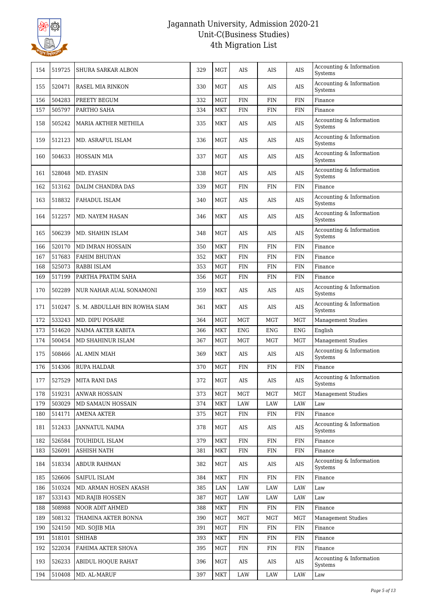

| 154 | 519725 | <b>SHURA SARKAR ALBON</b>     | 329 | <b>MGT</b> | AIS        | AIS        | AIS        | Accounting & Information<br>Systems |
|-----|--------|-------------------------------|-----|------------|------------|------------|------------|-------------------------------------|
| 155 | 520471 | RASEL MIA RINKON              | 330 | MGT        | AIS        | AIS        | AIS        | Accounting & Information<br>Systems |
| 156 | 504283 | PREETY BEGUM                  | 332 | <b>MGT</b> | <b>FIN</b> | <b>FIN</b> | <b>FIN</b> | Finance                             |
| 157 | 505797 | PARTHO SAHA                   | 334 | MKT        | <b>FIN</b> | <b>FIN</b> | <b>FIN</b> | Finance                             |
| 158 | 505242 | MARIA AKTHER METHILA          | 335 | MKT        | AIS        | AIS        | AIS        | Accounting & Information<br>Systems |
| 159 | 512123 | MD. ASRAFUL ISLAM             | 336 | MGT        | AIS        | AIS        | AIS        | Accounting & Information<br>Systems |
| 160 | 504633 | <b>HOSSAIN MIA</b>            | 337 | MGT        | <b>AIS</b> | AIS        | AIS        | Accounting & Information<br>Systems |
| 161 | 528048 | MD. EYASIN                    | 338 | <b>MGT</b> | AIS        | AIS        | AIS        | Accounting & Information<br>Systems |
| 162 | 513162 | DALIM CHANDRA DAS             | 339 | <b>MGT</b> | <b>FIN</b> | <b>FIN</b> | <b>FIN</b> | Finance                             |
| 163 | 518832 | FAHADUL ISLAM                 | 340 | MGT        | AIS        | AIS        | AIS        | Accounting & Information<br>Systems |
| 164 | 512257 | MD. NAYEM HASAN               | 346 | MKT        | AIS        | AIS        | <b>AIS</b> | Accounting & Information<br>Systems |
| 165 | 506239 | MD. SHAHIN ISLAM              | 348 | MGT        | AIS        | AIS        | AIS        | Accounting & Information<br>Systems |
| 166 | 520170 | MD IMRAN HOSSAIN              | 350 | <b>MKT</b> | <b>FIN</b> | FIN        | <b>FIN</b> | Finance                             |
| 167 | 517683 | FAHIM BHUIYAN                 | 352 | MKT        | <b>FIN</b> | <b>FIN</b> | <b>FIN</b> | Finance                             |
| 168 | 525073 | RABBI ISLAM                   | 353 | <b>MGT</b> | <b>FIN</b> | <b>FIN</b> | <b>FIN</b> | Finance                             |
| 169 | 517199 | PARTHA PRATIM SAHA            | 356 | <b>MGT</b> | <b>FIN</b> | <b>FIN</b> | <b>FIN</b> | Finance                             |
| 170 | 502289 | NUR NAHAR AUAL SONAMONI       | 359 | MKT        | AIS        | AIS        | AIS        | Accounting & Information<br>Systems |
| 171 | 510247 | S. M. ABDULLAH BIN ROWHA SIAM | 361 | MKT        | AIS        | AIS        | AIS        | Accounting & Information<br>Systems |
| 172 | 533243 | MD. DIPU POSARE               | 364 | <b>MGT</b> | <b>MGT</b> | <b>MGT</b> | <b>MGT</b> | Management Studies                  |
| 173 | 514620 | NAIMA AKTER KABITA            | 366 | <b>MKT</b> | <b>ENG</b> | <b>ENG</b> | <b>ENG</b> | English                             |
| 174 | 500454 | MD SHAHINUR ISLAM             | 367 | <b>MGT</b> | <b>MGT</b> | MGT        | <b>MGT</b> | <b>Management Studies</b>           |
| 175 | 508466 | AL AMIN MIAH                  | 369 | MKT        | AIS        | AIS        | AIS        | Accounting & Information<br>Systems |
| 176 | 514306 | RUPA HALDAR                   | 370 | <b>MGT</b> | <b>FIN</b> | FIN        | <b>FIN</b> | Finance                             |
| 177 | 527529 | <b>MITA RANI DAS</b>          | 372 | MGT        | AIS        | AIS        | AIS        | Accounting & Information<br>Systems |
| 178 | 519231 | <b>ANWAR HOSSAIN</b>          | 373 | <b>MGT</b> | MGT        | <b>MGT</b> | <b>MGT</b> | <b>Management Studies</b>           |
| 179 | 503029 | MD SAMAUN HOSSAIN             | 374 | <b>MKT</b> | LAW        | LAW        | LAW        | Law                                 |
| 180 | 514171 | <b>AMENA AKTER</b>            | 375 | <b>MGT</b> | <b>FIN</b> | <b>FIN</b> | <b>FIN</b> | Finance                             |
| 181 | 512433 | JANNATUL NAIMA                | 378 | MGT        | AIS        | AIS        | AIS        | Accounting & Information<br>Systems |
| 182 | 526584 | TOUHIDUL ISLAM                | 379 | <b>MKT</b> | <b>FIN</b> | FIN        | <b>FIN</b> | Finance                             |
| 183 | 526091 | <b>ASHISH NATH</b>            | 381 | <b>MKT</b> | FIN        | FIN        | FIN        | Finance                             |
| 184 | 518334 | ABDUR RAHMAN                  | 382 | <b>MGT</b> | AIS        | AIS        | AIS        | Accounting & Information<br>Systems |
| 185 | 526606 | SAIFUL ISLAM                  | 384 | <b>MKT</b> | <b>FIN</b> | <b>FIN</b> | <b>FIN</b> | Finance                             |
| 186 | 510324 | MD. ARMAN HOSEN AKASH         | 385 | LAN        | LAW        | LAW        | LAW        | Law                                 |
| 187 | 533143 | <b>MD.RAJIB HOSSEN</b>        | 387 | <b>MGT</b> | LAW        | LAW        | LAW        | Law                                 |
| 188 | 508988 | NOOR ADIT AHMED               | 388 | <b>MKT</b> | <b>FIN</b> | <b>FIN</b> | <b>FIN</b> | Finance                             |
| 189 | 508132 | THAMINA AKTER BONNA           | 390 | <b>MGT</b> | MGT        | <b>MGT</b> | <b>MGT</b> | <b>Management Studies</b>           |
| 190 | 524150 | MD. SOJIB MIA                 | 391 | <b>MGT</b> | FIN        | FIN        | <b>FIN</b> | Finance                             |
| 191 | 518101 | <b>SHIHAB</b>                 | 393 | <b>MKT</b> | <b>FIN</b> | <b>FIN</b> | <b>FIN</b> | Finance                             |
| 192 | 522034 | FAHIMA AKTER SHOVA            | 395 | <b>MGT</b> | <b>FIN</b> | <b>FIN</b> | <b>FIN</b> | Finance                             |
| 193 | 526233 | ABIDUL HOQUE RAHAT            | 396 | <b>MGT</b> | AIS        | AIS        | AIS        | Accounting & Information<br>Systems |
| 194 | 510408 | MD. AL-MARUF                  | 397 | MKT        | LAW        | LAW        | LAW        | Law                                 |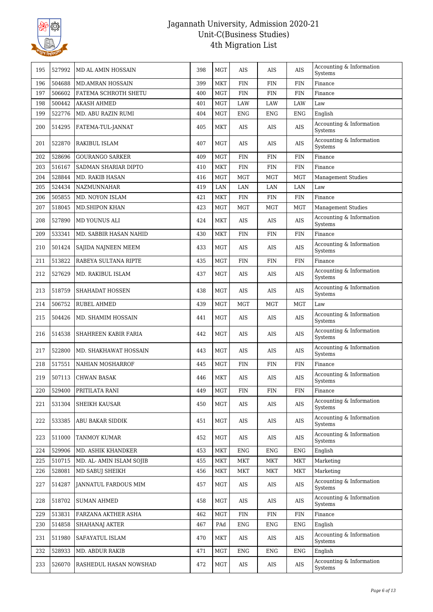

| 195 | 527992 | MD AL AMIN HOSSAIN       | 398 | <b>MGT</b> | <b>AIS</b>   | AIS        | AIS        | Accounting & Information<br>Systems |
|-----|--------|--------------------------|-----|------------|--------------|------------|------------|-------------------------------------|
| 196 | 504688 | <b>MD.AMRAN HOSSAIN</b>  | 399 | <b>MKT</b> | <b>FIN</b>   | <b>FIN</b> | <b>FIN</b> | Finance                             |
| 197 | 506602 | FATEMA SCHROTH SHETU     | 400 | <b>MGT</b> | <b>FIN</b>   | <b>FIN</b> | <b>FIN</b> | Finance                             |
| 198 | 500442 | <b>AKASH AHMED</b>       | 401 | <b>MGT</b> | LAW          | LAW        | LAW        | Law                                 |
| 199 | 522776 | MD. ABU RAZIN RUMI       | 404 | <b>MGT</b> | <b>ENG</b>   | <b>ENG</b> | <b>ENG</b> | English                             |
| 200 | 514295 | FATEMA-TUL-JANNAT        | 405 | <b>MKT</b> | AIS          | AIS        | AIS        | Accounting & Information<br>Systems |
| 201 | 522870 | RAKIBUL ISLAM            | 407 | <b>MGT</b> | <b>AIS</b>   | AIS        | AIS        | Accounting & Information<br>Systems |
| 202 | 528696 | <b>GOURANGO SARKER</b>   | 409 | <b>MGT</b> | <b>FIN</b>   | FIN        | <b>FIN</b> | Finance                             |
| 203 | 516167 | SADMAN SHARIAR DIPTO     | 410 | <b>MKT</b> | FIN          | FIN        | <b>FIN</b> | Finance                             |
| 204 | 528844 | MD. RAKIB HASAN          | 416 | <b>MGT</b> | <b>MGT</b>   | <b>MGT</b> | <b>MGT</b> | <b>Management Studies</b>           |
| 205 | 524434 | NAZMUNNAHAR              | 419 | LAN        | LAN          | LAN        | LAN        | Law                                 |
| 206 | 505855 | MD. NOYON ISLAM          | 421 | <b>MKT</b> | FIN          | FIN        | <b>FIN</b> | Finance                             |
| 207 | 518045 | <b>MD.SHIPON KHAN</b>    | 423 | <b>MGT</b> | <b>MGT</b>   | <b>MGT</b> | MGT        | <b>Management Studies</b>           |
| 208 | 527890 | MD YOUNUS ALI            | 424 | <b>MKT</b> | AIS          | AIS        | AIS        | Accounting & Information<br>Systems |
| 209 | 533341 | MD. SABBIR HASAN NAHID   | 430 | <b>MKT</b> | <b>FIN</b>   | <b>FIN</b> | <b>FIN</b> | Finance                             |
| 210 | 501424 | SAJIDA NAJNEEN MEEM      | 433 | <b>MGT</b> | AIS          | AIS        | AIS        | Accounting & Information<br>Systems |
| 211 | 513822 | RABEYA SULTANA RIPTE     | 435 | <b>MGT</b> | <b>FIN</b>   | <b>FIN</b> | <b>FIN</b> | Finance                             |
| 212 | 527629 | MD. RAKIBUL ISLAM        | 437 | <b>MGT</b> | AIS          | AIS        | AIS        | Accounting & Information<br>Systems |
| 213 | 518759 | SHAHADAT HOSSEN          | 438 | <b>MGT</b> | AIS          | AIS        | AIS        | Accounting & Information<br>Systems |
| 214 | 506752 | RUBEL AHMED              | 439 | <b>MGT</b> | <b>MGT</b>   | <b>MGT</b> | <b>MGT</b> | Law                                 |
| 215 | 504426 | MD. SHAMIM HOSSAIN       | 441 | <b>MGT</b> | AIS          | AIS        | AIS        | Accounting & Information<br>Systems |
| 216 | 514538 | SHAHREEN KABIR FARIA     | 442 | <b>MGT</b> | AIS          | AIS        | AIS        | Accounting & Information<br>Systems |
| 217 | 522800 | MD. SHAKHAWAT HOSSAIN    | 443 | <b>MGT</b> | AIS          | AIS        | AIS        | Accounting & Information<br>Systems |
| 218 | 517551 | NAHIAN MOSHARROF         | 445 | <b>MGT</b> | <b>FIN</b>   | <b>FIN</b> | <b>FIN</b> | Finance                             |
| 219 | 507113 | <b>CHWAN BASAK</b>       | 446 | <b>MKT</b> | AIS          | AIS        | AIS        | Accounting & Information<br>Systems |
| 220 | 529400 | PRITILATA RANI           | 449 | <b>MGT</b> | $\text{FIN}$ | <b>FIN</b> | <b>FIN</b> | Finance                             |
| 221 | 531304 | SHEIKH KAUSAR            | 450 | <b>MGT</b> | AIS          | AIS        | AIS        | Accounting & Information<br>Systems |
| 222 | 533385 | ABU BAKAR SIDDIK         | 451 | MGT        | AIS          | AIS        | AIS        | Accounting & Information<br>Systems |
| 223 | 511000 | <b>TANMOY KUMAR</b>      | 452 | <b>MGT</b> | AIS          | AIS        | AIS        | Accounting & Information<br>Systems |
| 224 | 529906 | MD. ASHIK KHANDKER       | 453 | <b>MKT</b> | <b>ENG</b>   | <b>ENG</b> | <b>ENG</b> | English                             |
| 225 | 510715 | MD. AL- AMIN ISLAM SOJIB | 455 | <b>MKT</b> | <b>MKT</b>   | <b>MKT</b> | <b>MKT</b> | Marketing                           |
| 226 | 528081 | MD SABUJ SHEIKH          | 456 | <b>MKT</b> | <b>MKT</b>   | MKT        | MKT        | Marketing                           |
| 227 | 514287 | JANNATUL FARDOUS MIM     | 457 | <b>MGT</b> | AIS          | AIS        | AIS        | Accounting & Information<br>Systems |
| 228 | 518702 | <b>SUMAN AHMED</b>       | 458 | MGT        | AIS          | AIS        | AIS        | Accounting & Information<br>Systems |
| 229 | 513831 | FARZANA AKTHER ASHA      | 462 | <b>MGT</b> | $\text{FIN}$ | <b>FIN</b> | FIN        | Finance                             |
| 230 | 514858 | SHAHANAJ AKTER           | 467 | PAd        | ENG          | <b>ENG</b> | <b>ENG</b> | English                             |
| 231 | 511980 | SAFAYATUL ISLAM          | 470 | MKT        | AIS          | AIS        | AIS        | Accounting & Information<br>Systems |
| 232 | 528933 | MD. ABDUR RAKIB          | 471 | <b>MGT</b> | <b>ENG</b>   | <b>ENG</b> | <b>ENG</b> | English                             |
| 233 | 526070 | RASHEDUL HASAN NOWSHAD   | 472 | <b>MGT</b> | AIS          | AIS        | AIS        | Accounting & Information<br>Systems |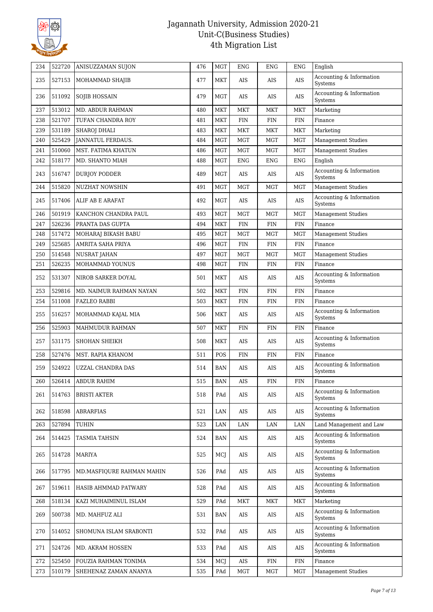

| 234 | 522720 | ANISUZZAMAN SUJON         | 476 | <b>MGT</b> | <b>ENG</b> | <b>ENG</b> | <b>ENG</b> | English                                |
|-----|--------|---------------------------|-----|------------|------------|------------|------------|----------------------------------------|
| 235 | 527153 | MOHAMMAD SHAJIB           | 477 | <b>MKT</b> | AIS        | AIS        | AIS        | Accounting & Information<br>Systems    |
| 236 | 511092 | <b>SOJIB HOSSAIN</b>      | 479 | <b>MGT</b> | <b>AIS</b> | AIS        | AIS        | Accounting & Information<br>Systems    |
| 237 | 513012 | <b>MD. ABDUR RAHMAN</b>   | 480 | MKT        | MKT        | MKT        | <b>MKT</b> | Marketing                              |
| 238 | 521707 | TUFAN CHANDRA ROY         | 481 | <b>MKT</b> | <b>FIN</b> | <b>FIN</b> | <b>FIN</b> | Finance                                |
| 239 | 531189 | <b>SHAROJ DHALI</b>       | 483 | <b>MKT</b> | <b>MKT</b> | MKT        | <b>MKT</b> | Marketing                              |
| 240 | 525429 | JANNATUL FERDAUS.         | 484 | <b>MGT</b> | MGT        | <b>MGT</b> | <b>MGT</b> | <b>Management Studies</b>              |
| 241 | 510060 | MST. FATIMA KHATUN        | 486 | <b>MGT</b> | <b>MGT</b> | <b>MGT</b> | <b>MGT</b> | <b>Management Studies</b>              |
| 242 | 518177 | MD. SHANTO MIAH           | 488 | <b>MGT</b> | <b>ENG</b> | <b>ENG</b> | <b>ENG</b> | English                                |
| 243 | 516747 | <b>DURJOY PODDER</b>      | 489 | <b>MGT</b> | AIS        | AIS        | AIS        | Accounting & Information<br>Systems    |
| 244 | 515820 | <b>NUZHAT NOWSHIN</b>     | 491 | <b>MGT</b> | <b>MGT</b> | <b>MGT</b> | <b>MGT</b> | <b>Management Studies</b>              |
| 245 | 517406 | ALIF AB E ARAFAT          | 492 | MGT        | AIS        | <b>AIS</b> | AIS        | Accounting & Information<br>Systems    |
| 246 | 501919 | KANCHON CHANDRA PAUL      | 493 | <b>MGT</b> | <b>MGT</b> | <b>MGT</b> | <b>MGT</b> | <b>Management Studies</b>              |
| 247 | 526236 | PRANTA DAS GUPTA          | 494 | <b>MKT</b> | <b>FIN</b> | <b>FIN</b> | <b>FIN</b> | Finance                                |
| 248 | 517472 | MOHARAJ BIKASH BABU       | 495 | <b>MGT</b> | <b>MGT</b> | <b>MGT</b> | <b>MGT</b> | <b>Management Studies</b>              |
| 249 | 525685 | AMRITA SAHA PRIYA         | 496 | <b>MGT</b> | <b>FIN</b> | <b>FIN</b> | FIN        | Finance                                |
| 250 | 514548 | <b>NUSRAT JAHAN</b>       | 497 | <b>MGT</b> | <b>MGT</b> | <b>MGT</b> | <b>MGT</b> | <b>Management Studies</b>              |
| 251 | 526235 | MOHAMMAD YOUNUS           | 498 | MGT        | <b>FIN</b> | <b>FIN</b> | <b>FIN</b> | Finance                                |
| 252 | 531307 | NIROB SARKER DOYAL        | 501 | MKT        | AIS        | AIS        | AIS        | Accounting & Information<br>Systems    |
| 253 | 529816 | MD. NAIMUR RAHMAN NAYAN   | 502 | MKT        | <b>FIN</b> | <b>FIN</b> | <b>FIN</b> | Finance                                |
| 254 | 511008 | <b>FAZLEO RABBI</b>       | 503 | <b>MKT</b> | <b>FIN</b> | FIN        | <b>FIN</b> | Finance                                |
| 255 | 516257 | MOHAMMAD KAJAL MIA        | 506 | MKT        | <b>AIS</b> | AIS        | AIS        | Accounting & Information<br>Systems    |
| 256 | 525903 | MAHMUDUR RAHMAN           | 507 | MKT        | FIN        | FIN        | <b>FIN</b> | Finance                                |
| 257 | 531175 | SHOHAN SHEIKH             | 508 | MKT        | AIS        | AIS        | AIS        | Accounting & Information<br>Systems    |
| 258 | 527476 | MST. RAPIA KHANOM         | 511 | POS        | <b>FIN</b> | FIN        | <b>FIN</b> | Finance                                |
| 259 | 524922 | UZZAL CHANDRA DAS         | 514 | <b>BAN</b> | AIS        | AIS        | AIS        | Accounting & Information<br>Systems    |
| 260 | 526414 | <b>ABDUR RAHIM</b>        | 515 | <b>BAN</b> | AIS        | FIN        | <b>FIN</b> | Finance                                |
| 261 | 514763 | <b>BRISTI AKTER</b>       | 518 | PAd        | AIS        | AIS        | AIS        | Accounting & Information<br>Systems    |
| 262 | 518598 | <b>ABRARFIAS</b>          | 521 | LAN        | AIS        | AIS        | AIS        | Accounting & Information<br>Systems    |
| 263 | 527894 | TUHIN                     | 523 | LAN        | LAN        | LAN        | LAN        | Land Management and Law                |
| 264 | 514425 | TASMIA TAHSIN             | 524 | BAN        | AIS        | AIS        | AIS        | Accounting & Information<br>Systems    |
| 265 | 514728 | <b>MARIYA</b>             | 525 | MCJ        | AIS        | AIS        | AIS        | Accounting & Information<br>Systems    |
| 266 | 517795 | MD.MASFIQURE RAHMAN MAHIN | 526 | PAd        | AIS        | AIS        | AIS        | Accounting & Information<br>Systems    |
| 267 | 519611 | HASIB AHMMAD PATWARY      | 528 | PAd        | AIS        | AIS        | AIS        | Accounting & Information<br>Systems    |
| 268 | 518134 | KAZI MUHAIMINUL ISLAM     | 529 | PAd        | MKT        | <b>MKT</b> | <b>MKT</b> | Marketing                              |
| 269 | 500738 | MD. MAHFUZ ALI            | 531 | <b>BAN</b> | AIS        | AIS        | AIS        | Accounting & Information<br>Systems    |
| 270 | 514052 | SHOMUNA ISLAM SRABONTI    | 532 | PAd        | AIS        | AIS        | AIS        | Accounting & Information<br>Systems    |
| 271 | 524726 | MD. AKRAM HOSSEN          | 533 | PAd        | AIS        | AIS        | AIS        | Accounting $\&$ Information<br>Systems |
| 272 | 525450 | FOUZIA RAHMAN TONIMA      | 534 | MCJ        | AIS        | <b>FIN</b> | <b>FIN</b> | Finance                                |
| 273 | 510179 | SHEHENAZ ZAMAN ANANYA     | 535 | PAd        | MGT        | <b>MGT</b> | MGT        | <b>Management Studies</b>              |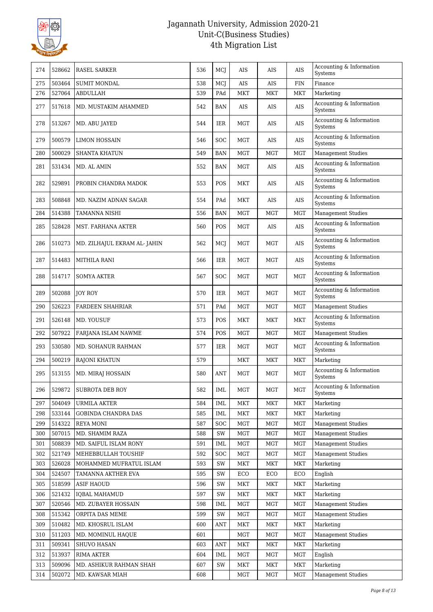

| 274 | 528662 | RASEL SARKER                | 536 | MCJ        | <b>AIS</b> | AIS        | AIS        | Accounting & Information<br>Systems        |
|-----|--------|-----------------------------|-----|------------|------------|------------|------------|--------------------------------------------|
| 275 | 503464 | <b>SUMIT MONDAL</b>         | 538 | MCJ        | <b>AIS</b> | <b>AIS</b> | <b>FIN</b> | Finance                                    |
| 276 | 527064 | <b>ABDULLAH</b>             | 539 | PAd        | <b>MKT</b> | <b>MKT</b> | <b>MKT</b> | Marketing                                  |
| 277 | 517618 | MD. MUSTAKIM AHAMMED        | 542 | <b>BAN</b> | AIS        | AIS        | AIS        | Accounting & Information<br>Systems        |
| 278 | 513267 | MD. ABU JAYED               | 544 | <b>IER</b> | MGT        | AIS        | <b>AIS</b> | Accounting & Information<br>Systems        |
| 279 | 500579 | <b>LIMON HOSSAIN</b>        | 546 | SOC        | MGT        | AIS        | AIS        | Accounting & Information<br>Systems        |
| 280 | 500029 | <b>SHANTA KHATUN</b>        | 549 | <b>BAN</b> | <b>MGT</b> | <b>MGT</b> | <b>MGT</b> | <b>Management Studies</b>                  |
| 281 | 531434 | MD. AL AMIN                 | 552 | <b>BAN</b> | MGT        | AIS        | AIS        | Accounting & Information<br>Systems        |
| 282 | 529891 | PROBIN CHANDRA MADOK        | 553 | <b>POS</b> | MKT        | AIS        | <b>AIS</b> | Accounting & Information<br>Systems        |
| 283 | 508848 | MD. NAZIM ADNAN SAGAR       | 554 | PAd        | MKT        | AIS        | AIS        | Accounting & Information<br>Systems        |
| 284 | 514388 | <b>TAMANNA NISHI</b>        | 556 | <b>BAN</b> | <b>MGT</b> | <b>MGT</b> | <b>MGT</b> | <b>Management Studies</b>                  |
| 285 | 528428 | MST. FARHANA AKTER          | 560 | POS        | MGT        | AIS        | <b>AIS</b> | Accounting & Information<br><b>Systems</b> |
| 286 | 510273 | MD. ZILHAJUL EKRAM AL-JAHIN | 562 | MCJ        | <b>MGT</b> | MGT        | AIS        | Accounting & Information<br>Systems        |
| 287 | 514483 | <b>MITHILA RANI</b>         | 566 | <b>IER</b> | MGT        | MGT        | AIS        | Accounting & Information<br>Systems        |
| 288 | 514717 | <b>SOMYA AKTER</b>          | 567 | SOC        | MGT        | MGT        | <b>MGT</b> | Accounting & Information<br>Systems        |
| 289 | 502088 | <b>JOY ROY</b>              | 570 | <b>IER</b> | MGT        | <b>MGT</b> | <b>MGT</b> | Accounting & Information<br>Systems        |
| 290 | 526223 | <b>FARDEEN SHAHRIAR</b>     | 571 | PAd        | <b>MGT</b> | <b>MGT</b> | <b>MGT</b> | <b>Management Studies</b>                  |
| 291 | 526148 | MD. YOUSUF                  | 573 | POS        | MKT        | <b>MKT</b> | <b>MKT</b> | Accounting & Information<br>Systems        |
| 292 | 507922 | FARJANA ISLAM NAWME         | 574 | POS        | <b>MGT</b> | <b>MGT</b> | <b>MGT</b> | <b>Management Studies</b>                  |
| 293 | 530580 | MD. SOHANUR RAHMAN          | 577 | IER        | MGT        | MGT        | <b>MGT</b> | Accounting & Information<br>Systems        |
| 294 | 500219 | <b>RAJONI KHATUN</b>        | 579 |            | <b>MKT</b> | <b>MKT</b> | <b>MKT</b> | Marketing                                  |
| 295 | 513155 | MD. MIRAJ HOSSAIN           | 580 | <b>ANT</b> | MGT        | <b>MGT</b> | <b>MGT</b> | Accounting & Information<br>Systems        |
| 296 | 529872 | <b>SUBROTA DEB ROY</b>      | 582 | IML        | MGT        | MGT        | MGT        | Accounting & Information<br>Systems        |
| 297 | 504049 | <b>URMILA AKTER</b>         | 584 | IML        | <b>MKT</b> | <b>MKT</b> | <b>MKT</b> | Marketing                                  |
| 298 | 533144 | GOBINDA CHANDRA DAS         | 585 | IML        | <b>MKT</b> | <b>MKT</b> | <b>MKT</b> | Marketing                                  |
| 299 | 514322 | REYA MONI                   | 587 | <b>SOC</b> | MGT        | <b>MGT</b> | MGT        | <b>Management Studies</b>                  |
| 300 | 507015 | MD. SHAMIM RAZA             | 588 | SW         | MGT        | <b>MGT</b> | <b>MGT</b> | <b>Management Studies</b>                  |
| 301 | 508839 | MD. SAIFUL ISLAM RONY       | 591 | IML        | MGT        | MGT        | MGT        | Management Studies                         |
| 302 | 521749 | MEHEBBULLAH TOUSHIF         | 592 | SOC        | MGT        | <b>MGT</b> | <b>MGT</b> | <b>Management Studies</b>                  |
| 303 | 526028 | MOHAMMED MUFRATUL ISLAM     | 593 | SW         | MKT        | <b>MKT</b> | <b>MKT</b> | Marketing                                  |
| 304 | 524507 | TAMANNA AKTHER EVA          | 595 | SW         | ECO        | ECO        | ECO        | English                                    |
| 305 | 518599 | ASIF HAOUD                  | 596 | SW         | MKT        | MKT        | MKT        | Marketing                                  |
| 306 | 521432 | <b>IQBAL MAHAMUD</b>        | 597 | SW         | <b>MKT</b> | <b>MKT</b> | MKT        | Marketing                                  |
| 307 | 520546 | MD. ZUBAYER HOSSAIN         | 598 | IML        | MGT        | <b>MGT</b> | <b>MGT</b> | <b>Management Studies</b>                  |
| 308 | 515342 | ORPITA DAS MEME             | 599 | SW         | MGT        | <b>MGT</b> | <b>MGT</b> | <b>Management Studies</b>                  |
| 309 | 510482 | MD. KHOSRUL ISLAM           | 600 | ANT        | MKT        | <b>MKT</b> | <b>MKT</b> | Marketing                                  |
| 310 | 511203 | MD. MOMINUL HAQUE           | 601 |            | MGT        | MGT        | <b>MGT</b> | <b>Management Studies</b>                  |
| 311 | 509341 | SHUVO HASAN                 | 603 | <b>ANT</b> | MKT        | <b>MKT</b> | <b>MKT</b> | Marketing                                  |
| 312 | 513937 | RIMA AKTER                  | 604 | IML        | MGT        | MGT        | <b>MGT</b> | English                                    |
| 313 | 509096 | MD. ASHIKUR RAHMAN SHAH     | 607 | SW         | MKT        | MKT        | <b>MKT</b> | Marketing                                  |
| 314 | 502072 | MD. KAWSAR MIAH             | 608 |            | MGT        | <b>MGT</b> | <b>MGT</b> | <b>Management Studies</b>                  |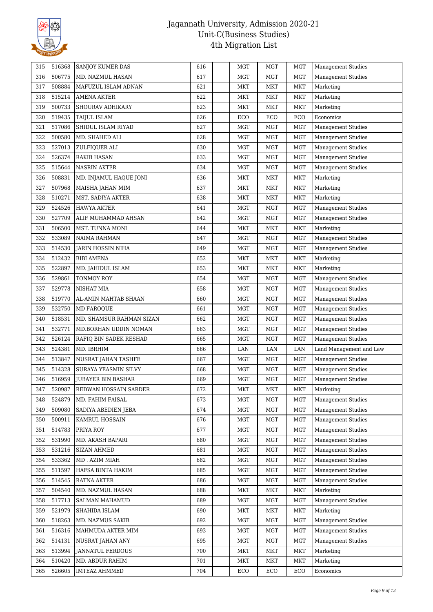

| 315 | 516368 | <b>SANJOY KUMER DAS</b>      | 616 | MGT          | <b>MGT</b> | <b>MGT</b> | <b>Management Studies</b> |
|-----|--------|------------------------------|-----|--------------|------------|------------|---------------------------|
| 316 | 506775 | MD. NAZMUL HASAN             | 617 | <b>MGT</b>   | <b>MGT</b> | <b>MGT</b> | <b>Management Studies</b> |
| 317 | 508884 | MAFUZUL ISLAM ADNAN          | 621 | MKT          | MKT        | MKT        | Marketing                 |
| 318 | 515214 | AMENA AKTER                  | 622 | <b>MKT</b>   | <b>MKT</b> | <b>MKT</b> | Marketing                 |
| 319 | 500733 | SHOURAV ADHIKARY             | 623 | <b>MKT</b>   | <b>MKT</b> | <b>MKT</b> | Marketing                 |
| 320 | 519435 | TAIJUL ISLAM                 | 626 | ECO          | ECO        | ECO        | Economics                 |
| 321 | 517086 | SHIDUL ISLAM RIYAD           | 627 | <b>MGT</b>   | <b>MGT</b> | <b>MGT</b> | Management Studies        |
| 322 | 500580 | MD. SHAHED ALI               | 628 | <b>MGT</b>   | <b>MGT</b> | <b>MGT</b> | Management Studies        |
| 323 | 527013 | ZULFIQUER ALI                | 630 | <b>MGT</b>   | <b>MGT</b> | <b>MGT</b> | <b>Management Studies</b> |
| 324 | 526374 | RAKIB HASAN                  | 633 | <b>MGT</b>   | <b>MGT</b> | <b>MGT</b> | <b>Management Studies</b> |
| 325 | 515644 | NASRIN AKTER                 | 634 | <b>MGT</b>   | <b>MGT</b> | MGT        | <b>Management Studies</b> |
| 326 | 508831 | MD. INJAMUL HAQUE JONI       | 636 | MKT          | MKT        | <b>MKT</b> | Marketing                 |
| 327 | 507968 | MAISHA JAHAN MIM             | 637 | <b>MKT</b>   | <b>MKT</b> | <b>MKT</b> | Marketing                 |
| 328 | 510271 | MST. SADIYA AKTER            | 638 | MKT          | <b>MKT</b> | <b>MKT</b> | Marketing                 |
| 329 | 524526 | <b>HAWYA AKTER</b>           | 641 | <b>MGT</b>   | <b>MGT</b> | <b>MGT</b> | <b>Management Studies</b> |
| 330 | 527709 | ALIF MUHAMMAD AHSAN          | 642 | <b>MGT</b>   | <b>MGT</b> | <b>MGT</b> | <b>Management Studies</b> |
| 331 | 506500 | MST. TUNNA MONI              | 644 | <b>MKT</b>   | <b>MKT</b> | <b>MKT</b> | Marketing                 |
| 332 | 533089 | NAIMA RAHMAN                 | 647 | $_{\rm MGT}$ | <b>MGT</b> | <b>MGT</b> | <b>Management Studies</b> |
| 333 | 514530 | JARIN HOSSIN NIHA            | 649 | MGT          | <b>MGT</b> | MGT        | <b>Management Studies</b> |
| 334 | 512432 | <b>BIBI AMENA</b>            | 652 | <b>MKT</b>   | <b>MKT</b> | <b>MKT</b> | Marketing                 |
| 335 | 522897 | MD. JAHIDUL ISLAM            | 653 | <b>MKT</b>   | <b>MKT</b> | <b>MKT</b> | Marketing                 |
| 336 | 529861 | TONMOY ROY                   | 654 | MGT          | <b>MGT</b> | <b>MGT</b> | <b>Management Studies</b> |
| 337 | 529778 | NISHAT MIA                   | 658 | <b>MGT</b>   | <b>MGT</b> | <b>MGT</b> | <b>Management Studies</b> |
| 338 | 519770 | AL-AMIN MAHTAB SHAAN         | 660 | <b>MGT</b>   | <b>MGT</b> | MGT        | <b>Management Studies</b> |
| 339 | 532750 | MD FAROQUE                   | 661 | MGT          | MGT        | MGT        | <b>Management Studies</b> |
| 340 | 518531 | MD. SHAMSUR RAHMAN SIZAN     | 662 | <b>MGT</b>   | <b>MGT</b> | <b>MGT</b> | <b>Management Studies</b> |
| 341 | 532771 | MD.BORHAN UDDIN NOMAN        | 663 | <b>MGT</b>   | <b>MGT</b> | MGT        | <b>Management Studies</b> |
| 342 | 526124 | RAFIQ BIN SADEK RESHAD       | 665 | MGT          | <b>MGT</b> | MGT        | <b>Management Studies</b> |
| 343 | 524381 | MD. IBRHIM                   | 666 | LAN          | LAN        | LAN        | Land Management and Law   |
| 344 | 513847 | NUSRAT JAHAN TASHFE          | 667 | MGT          | <b>MGT</b> | MGT        | Management Studies        |
| 345 | 514328 | SURAYA YEASMIN SILVY         | 668 | <b>MGT</b>   | <b>MGT</b> | MGT        | <b>Management Studies</b> |
| 346 | 516959 | JUBAYER BIN BASHAR           | 669 | <b>MGT</b>   | <b>MGT</b> | <b>MGT</b> | Management Studies        |
| 347 | 520987 | <b>REDWAN HOSSAIN SARDER</b> | 672 | MKT          | MKT        | <b>MKT</b> | Marketing                 |
| 348 | 524879 | MD. FAHIM FAISAL             | 673 | <b>MGT</b>   | <b>MGT</b> | <b>MGT</b> | <b>Management Studies</b> |
| 349 | 509080 | SADIYA ABEDIEN JEBA          | 674 | MGT          | <b>MGT</b> | MGT        | Management Studies        |
| 350 | 500911 | KAMRUL HOSSAIN               | 676 | MGT          | MGT        | MGT        | Management Studies        |
| 351 | 514783 | PRIYA ROY                    | 677 | MGT          | MGT        | <b>MGT</b> | <b>Management Studies</b> |
| 352 | 531990 | MD. AKASH BAPARI             | 680 | MGT          | MGT        | <b>MGT</b> | <b>Management Studies</b> |
| 353 | 531216 | <b>SIZAN AHMED</b>           | 681 | MGT          | <b>MGT</b> | MGT        | Management Studies        |
| 354 | 533362 | MD. AZIM MIAH                | 682 | MGT          | MGT        | MGT        | <b>Management Studies</b> |
| 355 | 511597 | HAFSA BINTA HAKIM            | 685 | MGT          | <b>MGT</b> | MGT        | <b>Management Studies</b> |
| 356 | 514545 | RATNA AKTER                  | 686 | MGT          | <b>MGT</b> | <b>MGT</b> | <b>Management Studies</b> |
| 357 | 504540 | MD. NAZMUL HASAN             | 688 | <b>MKT</b>   | MKT        | MKT        | Marketing                 |
| 358 | 517713 | SALMAN MAHAMUD               | 689 | MGT          | <b>MGT</b> | MGT        | <b>Management Studies</b> |
| 359 | 521979 | SHAHIDA ISLAM                | 690 | MKT          | <b>MKT</b> | <b>MKT</b> | Marketing                 |
| 360 | 518263 | MD. NAZMUS SAKIB             | 692 | MGT          | <b>MGT</b> | <b>MGT</b> | Management Studies        |
| 361 | 516316 | MAHMUDA AKTER MIM            | 693 | MGT          | <b>MGT</b> | <b>MGT</b> | <b>Management Studies</b> |
| 362 | 514131 | NUSRAT JAHAN ANY             | 695 | MGT          | <b>MGT</b> | <b>MGT</b> | <b>Management Studies</b> |
| 363 | 513994 | <b>JANNATUL FERDOUS</b>      | 700 | MKT          | MKT        | MKT        | Marketing                 |
| 364 | 510420 | MD. ABDUR RAHIM              | 701 | MKT          | MKT        | <b>MKT</b> | Marketing                 |
| 365 | 526605 | <b>IMTEAZ AHMMED</b>         | 704 | ECO          | ECO        | ECO        | Economics                 |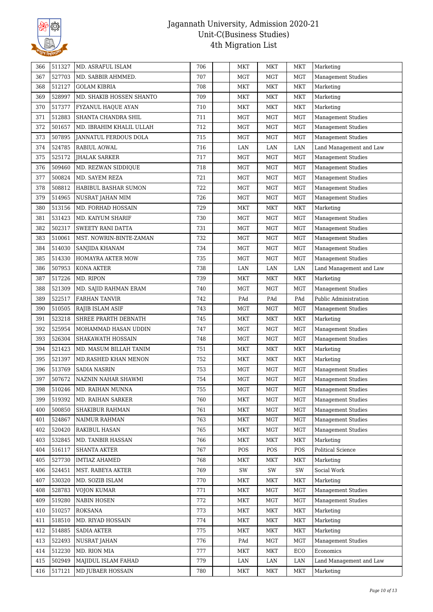

| 366 | 511327 | MD. ASRAFUL ISLAM         | 706 | MKT          | MKT        | <b>MKT</b> | Marketing                 |
|-----|--------|---------------------------|-----|--------------|------------|------------|---------------------------|
| 367 | 527703 | MD. SABBIR AHMMED.        | 707 | <b>MGT</b>   | <b>MGT</b> | <b>MGT</b> | <b>Management Studies</b> |
| 368 | 512127 | GOLAM KIBRIA              | 708 | MKT          | <b>MKT</b> | <b>MKT</b> | Marketing                 |
| 369 | 528997 | MD. SHAKIB HOSSEN SHANTO  | 709 | <b>MKT</b>   | <b>MKT</b> | <b>MKT</b> | Marketing                 |
| 370 | 517377 | <b>FYZANUL HAOUE AYAN</b> | 710 | MKT          | MKT        | <b>MKT</b> | Marketing                 |
| 371 | 512883 | SHANTA CHANDRA SHIL       | 711 | <b>MGT</b>   | <b>MGT</b> | MGT        | Management Studies        |
| 372 | 501657 | MD. IBRAHIM KHALIL ULLAH  | 712 | <b>MGT</b>   | <b>MGT</b> | <b>MGT</b> | <b>Management Studies</b> |
| 373 | 507895 | JANNATUL FERDOUS DOLA     | 715 | <b>MGT</b>   | <b>MGT</b> | <b>MGT</b> | <b>Management Studies</b> |
| 374 | 524785 | RABIUL AOWAL              | 716 | LAN          | LAN        | LAN        | Land Management and Law   |
| 375 | 525172 | <b>JHALAK SARKER</b>      | 717 | <b>MGT</b>   | <b>MGT</b> | <b>MGT</b> | <b>Management Studies</b> |
| 376 | 509460 | MD. REZWAN SIDDIQUE       | 718 | <b>MGT</b>   | <b>MGT</b> | <b>MGT</b> | <b>Management Studies</b> |
| 377 | 500824 | MD. SAYEM REZA            | 721 | <b>MGT</b>   | MGT        | MGT        | <b>Management Studies</b> |
| 378 | 508812 | HABIBUL BASHAR SUMON      | 722 | <b>MGT</b>   | <b>MGT</b> | <b>MGT</b> | <b>Management Studies</b> |
| 379 | 514965 | NUSRAT JAHAN MIM          | 726 | <b>MGT</b>   | MGT        | MGT        | <b>Management Studies</b> |
| 380 | 513156 | MD. FORHAD HOSSAIN        | 729 | <b>MKT</b>   | <b>MKT</b> | <b>MKT</b> | Marketing                 |
| 381 | 531423 | MD. KAIYUM SHARIF         | 730 | <b>MGT</b>   | <b>MGT</b> | <b>MGT</b> | <b>Management Studies</b> |
| 382 | 502317 | SWEETY RANI DATTA         | 731 | <b>MGT</b>   | <b>MGT</b> | <b>MGT</b> | <b>Management Studies</b> |
| 383 | 510061 | MST. NOWRIN-BINTE-ZAMAN   | 732 | <b>MGT</b>   | MGT        | <b>MGT</b> | Management Studies        |
| 384 | 514030 | SANJIDA KHANAM            | 734 | <b>MGT</b>   | <b>MGT</b> | <b>MGT</b> | <b>Management Studies</b> |
| 385 | 514330 | HOMAYRA AKTER MOW         | 735 | <b>MGT</b>   | <b>MGT</b> | <b>MGT</b> | <b>Management Studies</b> |
| 386 | 507953 | KONA AKTER                | 738 | LAN          | LAN        | LAN        | Land Management and Law   |
| 387 | 517226 | MD. RIPON                 | 739 | <b>MKT</b>   | <b>MKT</b> | <b>MKT</b> | Marketing                 |
| 388 | 521309 | MD. SAJID RAHMAN ERAM     | 740 | <b>MGT</b>   | <b>MGT</b> | <b>MGT</b> | <b>Management Studies</b> |
| 389 | 522517 | <b>FARHAN TANVIR</b>      | 742 | PAd          | PAd        | PAd        | Public Administration     |
| 390 | 510505 | RAJIB ISLAM ASIF          | 743 | <b>MGT</b>   | <b>MGT</b> | MGT        | <b>Management Studies</b> |
| 391 | 523218 | SHREE PRARTH DEBNATH      | 745 | MKT          | MKT        | <b>MKT</b> | Marketing                 |
| 392 | 525954 | MOHAMMAD HASAN UDDIN      | 747 | MGT          | <b>MGT</b> | <b>MGT</b> | Management Studies        |
| 393 | 526304 | SHAKAWATH HOSSAIN         | 748 | MGT          | <b>MGT</b> | <b>MGT</b> | <b>Management Studies</b> |
| 394 | 521423 | MD. MASUM BILLAH TANIM    | 751 | <b>MKT</b>   | <b>MKT</b> | <b>MKT</b> | Marketing                 |
| 395 | 521397 | MD.RASHED KHAN MENON      | 752 | <b>MKT</b>   | <b>MKT</b> | <b>MKT</b> | Marketing                 |
| 396 | 513769 | <b>SADIA NASRIN</b>       | 753 | <b>MGT</b>   | MGT        | MGT        | Management Studies        |
| 397 | 507672 | NAZNIN NAHAR SHAWMI       | 754 | $_{\rm MGT}$ | <b>MGT</b> | <b>MGT</b> | <b>Management Studies</b> |
| 398 | 510246 | MD. RAIHAN MUNNA          | 755 | MGT          | <b>MGT</b> | <b>MGT</b> | <b>Management Studies</b> |
| 399 | 519392 | MD. RAIHAN SARKER         | 760 | <b>MKT</b>   | MGT        | <b>MGT</b> | <b>Management Studies</b> |
| 400 | 500850 | SHAKIBUR RAHMAN           | 761 | <b>MKT</b>   | <b>MGT</b> | <b>MGT</b> | Management Studies        |
| 401 | 524867 | NAIMUR RAHMAN             | 763 | <b>MKT</b>   | <b>MGT</b> | MGT        | <b>Management Studies</b> |
| 402 | 520420 | <b>RAKIBUL HASAN</b>      | 765 | MKT          | <b>MGT</b> | MGT        | Management Studies        |
| 403 | 532845 | MD. TANBIR HASSAN         | 766 | MKT          | MKT        | <b>MKT</b> | Marketing                 |
| 404 | 516117 | <b>SHANTA AKTER</b>       | 767 | POS          | POS        | POS        | <b>Political Science</b>  |
| 405 | 527730 | <b>IMTIAZ AHAMED</b>      | 768 | MKT          | MKT        | <b>MKT</b> | Marketing                 |
| 406 | 524451 | MST. RABEYA AKTER         | 769 | SW           | SW         | SW         | Social Work               |
| 407 | 530320 | MD. SOZIB ISLAM           | 770 | <b>MKT</b>   | <b>MKT</b> | <b>MKT</b> | Marketing                 |
| 408 | 528783 | <b>VOJON KUMAR</b>        | 771 | MKT          | <b>MGT</b> | <b>MGT</b> | <b>Management Studies</b> |
| 409 | 519280 | NABIN HOSEN               | 772 | MKT          | <b>MGT</b> | <b>MGT</b> | Management Studies        |
| 410 | 510257 | ROKSANA                   | 773 | MKT          | <b>MKT</b> | MKT        | Marketing                 |
| 411 | 518510 | MD. RIYAD HOSSAIN         | 774 | MKT          | MKT        | <b>MKT</b> | Marketing                 |
| 412 | 514885 | <b>SADIA AKTER</b>        | 775 | <b>MKT</b>   | <b>MKT</b> | MKT        | Marketing                 |
| 413 | 522493 | NUSRAT JAHAN              | 776 | PAd          | <b>MGT</b> | <b>MGT</b> | Management Studies        |
| 414 | 512230 | MD. RION MIA              | 777 | MKT          | <b>MKT</b> | ECO        | Economics                 |
| 415 | 502949 | MAJIDUL ISLAM FAHAD       | 779 | LAN          | LAN        | LAN        | Land Management and Law   |
| 416 | 517121 | MD JUBAER HOSSAIN         | 780 | MKT          | MKT        | MKT        | Marketing                 |
|     |        |                           |     |              |            |            |                           |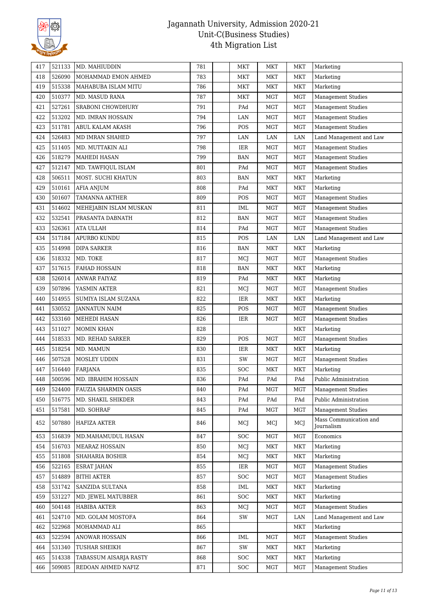

| 417 | 521133 | MD. MAHIUDDIN               | 781 | MKT        | <b>MKT</b> | <b>MKT</b> | Marketing                            |
|-----|--------|-----------------------------|-----|------------|------------|------------|--------------------------------------|
| 418 | 526090 | MOHAMMAD EMON AHMED         | 783 | MKT        | <b>MKT</b> | <b>MKT</b> | Marketing                            |
| 419 | 515338 | MAHABUBA ISLAM MITU         | 786 | MKT        | <b>MKT</b> | <b>MKT</b> | Marketing                            |
| 420 | 510377 | MD. MASUD RANA              | 787 | <b>MKT</b> | <b>MGT</b> | <b>MGT</b> | <b>Management Studies</b>            |
| 421 | 527261 | SRABONI CHOWDHURY           | 791 | PAd        | <b>MGT</b> | <b>MGT</b> | <b>Management Studies</b>            |
| 422 | 513202 | MD. IMRAN HOSSAIN           | 794 | LAN        | <b>MGT</b> | <b>MGT</b> | <b>Management Studies</b>            |
| 423 | 511781 | ABUL KALAM AKASH            | 796 | POS        | <b>MGT</b> | <b>MGT</b> | <b>Management Studies</b>            |
| 424 | 526483 | MD IMRAN SHAHED             | 797 | LAN        | LAN        | LAN        | Land Management and Law              |
| 425 | 511405 | MD. MUTTAKIN ALI            | 798 | IER        | <b>MGT</b> | <b>MGT</b> | <b>Management Studies</b>            |
| 426 | 518279 | <b>MAHEDI HASAN</b>         | 799 | <b>BAN</b> | <b>MGT</b> | <b>MGT</b> | <b>Management Studies</b>            |
| 427 | 512147 | MD. TAWFIQUL ISLAM          | 801 | PAd        | <b>MGT</b> | <b>MGT</b> | <b>Management Studies</b>            |
| 428 | 506511 | MOST. SUCHI KHATUN          | 803 | <b>BAN</b> | <b>MKT</b> | <b>MKT</b> | Marketing                            |
| 429 | 510161 | AFIA ANJUM                  | 808 | PAd        | <b>MKT</b> | <b>MKT</b> | Marketing                            |
| 430 | 501607 | TAMANNA AKTHER              | 809 | POS        | <b>MGT</b> | <b>MGT</b> | <b>Management Studies</b>            |
| 431 | 514602 | MEHEJABIN ISLAM MUSKAN      | 811 | <b>IML</b> | <b>MGT</b> | <b>MGT</b> | <b>Management Studies</b>            |
| 432 | 532541 | PRASANTA DABNATH            | 812 | BAN        | <b>MGT</b> | <b>MGT</b> | <b>Management Studies</b>            |
| 433 | 526361 | <b>ATA ULLAH</b>            | 814 | PAd        | <b>MGT</b> | <b>MGT</b> | <b>Management Studies</b>            |
| 434 | 517184 | APURBO KUNDU                | 815 | POS        | LAN        | LAN        | Land Management and Law              |
| 435 | 514998 | <b>DIPA SARKER</b>          | 816 | <b>BAN</b> | <b>MKT</b> | <b>MKT</b> | Marketing                            |
| 436 | 518332 | MD. TOKE                    | 817 | MCJ        | <b>MGT</b> | <b>MGT</b> | Management Studies                   |
| 437 | 517615 | FAHAD HOSSAIN               | 818 | <b>BAN</b> | <b>MKT</b> | <b>MKT</b> | Marketing                            |
| 438 | 526014 | ANWAR FAIYAZ                | 819 | PAd        | <b>MKT</b> | <b>MKT</b> | Marketing                            |
| 439 | 507896 | YASMIN AKTER                | 821 | MCJ        | <b>MGT</b> | <b>MGT</b> | <b>Management Studies</b>            |
| 440 | 514955 | SUMIYA ISLAM SUZANA         | 822 | <b>IER</b> | <b>MKT</b> | MKT        | Marketing                            |
| 441 | 530552 | <b>JANNATUN NAIM</b>        | 825 | POS        | <b>MGT</b> | <b>MGT</b> | <b>Management Studies</b>            |
| 442 | 533160 | MEHEDI HASAN                | 826 | <b>IER</b> | <b>MGT</b> | <b>MGT</b> | <b>Management Studies</b>            |
| 443 | 511027 | <b>MOMIN KHAN</b>           | 828 |            |            | <b>MKT</b> | Marketing                            |
| 444 | 518533 | MD. REHAD SARKER            | 829 | POS        | <b>MGT</b> | <b>MGT</b> | <b>Management Studies</b>            |
| 445 | 518254 | MD. MAMUN                   | 830 | IER        | <b>MKT</b> | <b>MKT</b> | Marketing                            |
| 446 | 507528 | MOSLEY UDDIN                | 831 | SW         | <b>MGT</b> | <b>MGT</b> | Management Studies                   |
| 447 | 516440 | <b>FARJANA</b>              | 835 | SOC        | <b>MKT</b> | <b>MKT</b> | Marketing                            |
| 448 | 500596 | MD. IBRAHIM HOSSAIN         | 836 | PAd        | PAd        | PAd        | Public Administration                |
| 449 | 524400 | <b>FAUZIA SHARMIN OASIS</b> | 840 | PAd        | <b>MGT</b> | MGT        | <b>Management Studies</b>            |
| 450 | 516775 | MD. SHAKIL SHIKDER          | 843 | PAd        | PAd        | PAd        | Public Administration                |
| 451 | 517581 | MD. SOHRAF                  | 845 | PAd        | <b>MGT</b> | <b>MGT</b> | <b>Management Studies</b>            |
| 452 | 507880 | HAFIZA AKTER                | 846 | MCJ        | MCJ        | MCJ        | Mass Communication and<br>Journalism |
| 453 | 516839 | MD.MAHAMUDUL HASAN          | 847 | <b>SOC</b> | MGT        | <b>MGT</b> | Economics                            |
| 454 | 516703 | MEARAZ HOSSAIN              | 850 | MCJ        | MKT        | <b>MKT</b> | Marketing                            |
| 455 | 511808 | <b>SHAHARIA BOSHIR</b>      | 854 | MCJ        | <b>MKT</b> | <b>MKT</b> | Marketing                            |
| 456 | 522165 | ESRAT JAHAN                 | 855 | <b>IER</b> | <b>MGT</b> | <b>MGT</b> | <b>Management Studies</b>            |
| 457 | 514889 | <b>BITHI AKTER</b>          | 857 | <b>SOC</b> | <b>MGT</b> | MGT        | <b>Management Studies</b>            |
| 458 | 531742 | SANZIDA SULTANA             | 858 | <b>IML</b> | <b>MKT</b> | <b>MKT</b> | Marketing                            |
| 459 | 531227 | MD. JEWEL MATUBBER          | 861 | <b>SOC</b> | <b>MKT</b> | <b>MKT</b> | Marketing                            |
| 460 | 504148 | <b>HABIBA AKTER</b>         | 863 | MCJ        | <b>MGT</b> | <b>MGT</b> | <b>Management Studies</b>            |
| 461 | 524710 | MD. GOLAM MOSTOFA           | 864 | SW         | MGT        | LAN        | Land Management and Law              |
| 462 | 522968 | MOHAMMAD ALI                | 865 |            |            | <b>MKT</b> | Marketing                            |
| 463 | 522594 | <b>ANOWAR HOSSAIN</b>       | 866 | <b>IML</b> | <b>MGT</b> | <b>MGT</b> | <b>Management Studies</b>            |
| 464 | 531340 | TUSHAR SHEIKH               | 867 | SW         | MKT        | MKT        | Marketing                            |
| 465 | 514338 | TABASSUM AISARJA RASTY      | 868 | <b>SOC</b> | <b>MKT</b> | <b>MKT</b> | Marketing                            |
| 466 | 509085 | REDOAN AHMED NAFIZ          | 871 | <b>SOC</b> | <b>MGT</b> | <b>MGT</b> | <b>Management Studies</b>            |
|     |        |                             |     |            |            |            |                                      |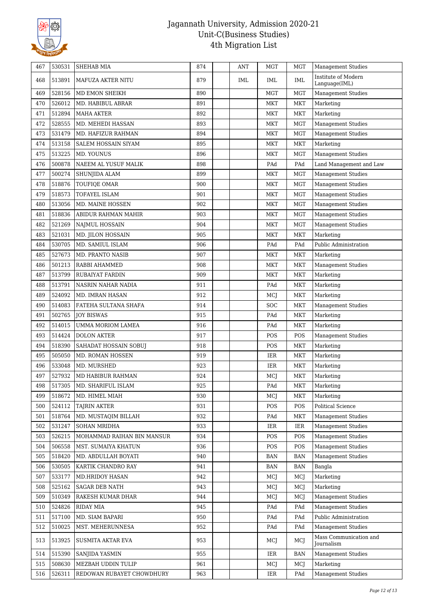

| 467 | 530531 | <b>SHEHAB MIA</b>          | 874 | <b>ANT</b> | <b>MGT</b> | <b>MGT</b> | <b>Management Studies</b>            |
|-----|--------|----------------------------|-----|------------|------------|------------|--------------------------------------|
| 468 | 513891 | MAFUZA AKTER NITU          | 879 | IML        | IML        | IML        | Institute of Modern<br>Language(IML) |
| 469 | 528156 | MD EMON SHEIKH             | 890 |            | <b>MGT</b> | <b>MGT</b> | Management Studies                   |
| 470 | 526012 | MD. HABIBUL ABRAR          | 891 |            | <b>MKT</b> | <b>MKT</b> | Marketing                            |
| 471 | 512894 | <b>MAHA AKTER</b>          | 892 |            | <b>MKT</b> | <b>MKT</b> | Marketing                            |
| 472 | 528555 | MD. MEHEDI HASSAN          | 893 |            | <b>MKT</b> | <b>MGT</b> | <b>Management Studies</b>            |
| 473 | 531479 | MD. HAFIZUR RAHMAN         | 894 |            | <b>MKT</b> | <b>MGT</b> | <b>Management Studies</b>            |
| 474 | 513158 | <b>SALEM HOSSAIN SIYAM</b> | 895 |            | <b>MKT</b> | MKT        | Marketing                            |
| 475 | 513225 | MD. YOUNUS                 | 896 |            | <b>MKT</b> | <b>MGT</b> | <b>Management Studies</b>            |
| 476 | 500878 | NAEEM AL YUSUF MALIK       | 898 |            | PAd        | PAd        | Land Management and Law              |
| 477 | 500274 | <b>SHUNJIDA ALAM</b>       | 899 |            | <b>MKT</b> | <b>MGT</b> | <b>Management Studies</b>            |
| 478 | 518876 | TOUFIQE OMAR               | 900 |            | <b>MKT</b> | <b>MGT</b> | <b>Management Studies</b>            |
| 479 | 518573 | TOFAYEL ISLAM              | 901 |            | <b>MKT</b> | <b>MGT</b> | <b>Management Studies</b>            |
| 480 | 513056 | MD. MAINE HOSSEN           | 902 |            | <b>MKT</b> | <b>MGT</b> | <b>Management Studies</b>            |
| 481 | 518836 | ABIDUR RAHMAN MAHIR        | 903 |            | MKT        | <b>MGT</b> | <b>Management Studies</b>            |
| 482 | 521269 | NAJMUL HOSSAIN             | 904 |            | <b>MKT</b> | <b>MGT</b> | <b>Management Studies</b>            |
| 483 | 521031 | MD. JILON HOSSAIN          | 905 |            | <b>MKT</b> | <b>MKT</b> | Marketing                            |
| 484 | 530705 | MD. SAMIUL ISLAM           | 906 |            | PAd        | PAd        | Public Administration                |
| 485 | 527673 | MD. PRANTO NASIB           | 907 |            | <b>MKT</b> | <b>MKT</b> | Marketing                            |
| 486 | 501213 | RABBI AHAMMED              | 908 |            | <b>MKT</b> | MKT        | <b>Management Studies</b>            |
| 487 | 513799 | RUBAIYAT FARDIN            | 909 |            | <b>MKT</b> | <b>MKT</b> | Marketing                            |
| 488 | 513791 | NASRIN NAHAR NADIA         | 911 |            | PAd        | <b>MKT</b> | Marketing                            |
| 489 | 524092 | MD. IMRAN HASAN            | 912 |            | MCJ        | <b>MKT</b> | Marketing                            |
| 490 | 514083 | FATEHA SULTANA SHAFA       | 914 |            | <b>SOC</b> | <b>MKT</b> | <b>Management Studies</b>            |
| 491 | 502765 | <b>JOY BISWAS</b>          | 915 |            | PAd        | <b>MKT</b> | Marketing                            |
| 492 | 514015 | <b>UMMA MORIOM LAMEA</b>   | 916 |            | PAd        | <b>MKT</b> | Marketing                            |
| 493 | 514424 | <b>DOLON AKTER</b>         | 917 |            | POS        | POS        | <b>Management Studies</b>            |
| 494 | 518390 | SAHADAT HOSSAIN SOBUJ      | 918 |            | POS        | <b>MKT</b> | Marketing                            |
| 495 | 505050 | MD. ROMAN HOSSEN           | 919 |            | IER        | <b>MKT</b> | Marketing                            |
| 496 | 533048 | MD. MURSHED                | 923 |            | IER        | <b>MKT</b> | Marketing                            |
| 497 | 527932 | MD HABIBUR RAHMAN          | 924 |            | MCJ        | <b>MKT</b> | Marketing                            |
| 498 | 517305 | MD. SHARIFUL ISLAM         | 925 |            | PAd        | MKT        | Marketing                            |
| 499 | 518672 | MD. HIMEL MIAH             | 930 |            | MCI        | <b>MKT</b> | Marketing                            |
| 500 | 524112 | TAJRIN AKTER               | 931 |            | POS        | POS        | Political Science                    |
| 501 | 518764 | MD. MUSTAQIM BILLAH        | 932 |            | PAd        | <b>MKT</b> | <b>Management Studies</b>            |
| 502 | 531247 | <b>SOHAN MRIDHA</b>        | 933 |            | IER        | IER        | <b>Management Studies</b>            |
| 503 | 526215 | MOHAMMAD RAIHAN BIN MANSUR | 934 |            | POS        | POS        | <b>Management Studies</b>            |
| 504 | 506558 | MST. SUMAIYA KHATUN        | 936 |            | POS        | POS        | <b>Management Studies</b>            |
| 505 | 518420 | MD. ABDULLAH BOYATI        | 940 |            | BAN        | <b>BAN</b> | <b>Management Studies</b>            |
| 506 | 530505 | KARTIK CHANDRO RAY         | 941 |            | BAN        | <b>BAN</b> | Bangla                               |
| 507 | 533177 | <b>MD.HRIDOY HASAN</b>     | 942 |            | MCJ        | MCJ        | Marketing                            |
| 508 | 525162 | SAGAR DEB NATH             | 943 |            | MCJ        | MCJ        | Marketing                            |
| 509 | 510349 | RAKESH KUMAR DHAR          | 944 |            | MCJ        | MCJ        | <b>Management Studies</b>            |
| 510 | 524826 | <b>RIDAY MIA</b>           | 945 |            | PAd        | PAd        | <b>Management Studies</b>            |
| 511 | 517100 | MD. SIAM BAPARI            | 950 |            | PAd        | PAd        | Public Administration                |
| 512 | 510025 | MST. MEHERUNNESA           | 952 |            | PAd        | PAd        | <b>Management Studies</b>            |
| 513 | 513925 | SUSMITA AKTAR EVA          | 953 |            | MCJ        | MCJ        | Mass Communication and<br>Journalism |
| 514 | 515390 | SANJIDA YASMIN             | 955 |            | IER        | <b>BAN</b> | <b>Management Studies</b>            |
| 515 | 508630 | MEZBAH UDDIN TULIP         | 961 |            | MCJ        | MCJ        | Marketing                            |
| 516 | 526311 | REDOWAN RUBAYET CHOWDHURY  | 963 |            | IER        | PAd        | <b>Management Studies</b>            |